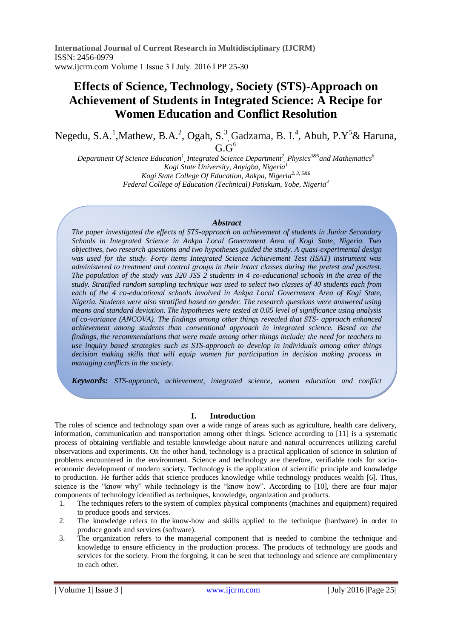# **Effects of Science, Technology, Society (STS)-Approach on Achievement of Students in Integrated Science: A Recipe for Women Education and Conflict Resolution**

Negedu, S.A.<sup>1</sup>, Mathew, B.A.<sup>2</sup>, Ogah, S.<sup>3</sup>, Gadzama, B. I.<sup>4</sup>, Abuh, P.Y<sup>5</sup>& Haruna,  $G.G<sup>6</sup>$ 

*Department Of Science Education<sup>1</sup> , Integrated Science Department<sup>2</sup> , Physics3&5and Mathematics<sup>6</sup> Kogi State University, Anyigba, Nigeria<sup>1</sup> Kogi State College Of Education, Ankpa, Nigeria2, 3, 5&6 Federal College of Education (Technical) Potiskum, Yobe, Nigeria<sup>4</sup>*

# *Abstract*

*The paper investigated the effects of STS-approach on achievement of students in Junior Secondary Schools in Integrated Science in Ankpa Local Government Area of Kogi State, Nigeria. Two objectives, two research questions and two hypotheses guided the study. A quasi-experimental design was used for the study. Forty items Integrated Science Achievement Test (ISAT) instrument was administered to treatment and control groups in their intact classes during the pretest and posttest. The population of the study was 320 JSS 2 students in 4 co-educational schools in the area of the study. Stratified random sampling technique was used to select two classes of 40 students each from each of the 4 co-educational schools involved in Ankpa Local Government Area of Kogi State, Nigeria. Students were also stratified based on gender. The research questions were answered using means and standard deviation. The hypotheses were tested at 0.05 level of significance using analysis of co-variance (ANCOVA). The findings among other things revealed that STS- approach enhanced achievement among students than conventional approach in integrated science. Based on the findings, the recommendations that were made among other things include; the need for teachers to use inquiry based strategies such as STS-approach to develop in individuals among other things decision making skills that will equip women for participation in decision making process in managing conflicts in the society.*

*Keywords: STS-approach, achievement, integrated science, women education and conflict* 

# **I. Introduction**

The roles of science and technology span over a wide range of areas such as agriculture, health care delivery, information, communication and transportation among other things. Science according to [11] is a systematic process of obtaining verifiable and testable knowledge about nature and natural occurrences utilizing careful observations and experiments. On the other hand, technology is a practical application of science in solution of problems encountered in the environment. Science and technology are therefore, verifiable tools for socioeconomic development of modern society. Technology is the application of scientific principle and knowledge to production. He further adds that science produces knowledge while technology produces wealth [6]. Thus, science is the "know why" while technology is the "know how". According to [10], there are four major components of technology identified as techniques, knowledge, organization and products.

- 1. The techniques refers to the system of complex physical components (machines and equipment) required to produce goods and services.
- 2. The knowledge refers to the know-how and skills applied to the technique (hardware) in order to produce goods and services (software).
- 3. The organization refers to the managerial component that is needed to combine the technique and knowledge to ensure efficiency in the production process. The products of technology are goods and services for the society. From the forgoing, it can be seen that technology and science are complimentary to each other.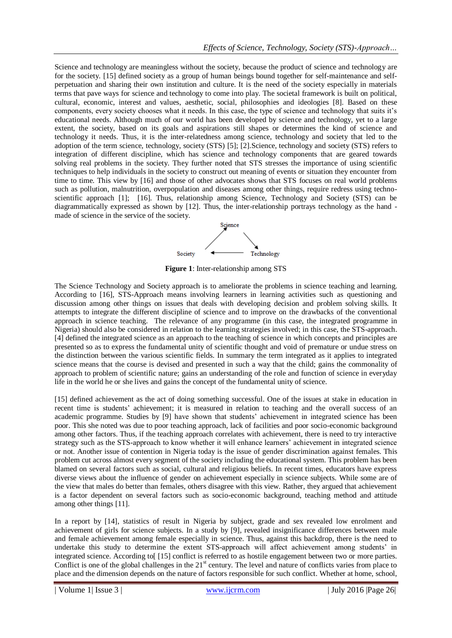Science and technology are meaningless without the society, because the product of science and technology are for the society. [15] defined society as a group of human beings bound together for self-maintenance and selfperpetuation and sharing their own institution and culture. It is the need of the society especially in materials terms that pave ways for science and technology to come into play. The societal framework is built on political, cultural, economic, interest and values, aesthetic, social, philosophies and ideologies [8]. Based on these components, every society chooses what it needs. In this case, the type of science and technology that suits it's educational needs. Although much of our world has been developed by science and technology, yet to a large extent, the society, based on its goals and aspirations still shapes or determines the kind of science and technology it needs. Thus, it is the inter-relatedness among science, technology and society that led to the adoption of the term science, technology, society (STS) [5]; [2].Science, technology and society (STS) refers to integration of different discipline, which has science and technology components that are geared towards solving real problems in the society. They further noted that STS stresses the importance of using scientific techniques to help individuals in the society to construct out meaning of events or situation they encounter from time to time. This view by [16] and those of other advocates shows that STS focuses on real world problems such as pollution, malnutrition, overpopulation and diseases among other things, require redress using technoscientific approach [1]; [16]. Thus, relationship among Science, Technology and Society (STS) can be diagrammatically expressed as shown by [12]. Thus, the inter-relationship portrays technology as the hand made of science in the service of the society.



**Figure 1**: Inter-relationship among STS

The Science Technology and Society approach is to ameliorate the problems in science teaching and learning. According to [16], STS-Approach means involving learners in learning activities such as questioning and discussion among other things on issues that deals with developing decision and problem solving skills. It attempts to integrate the different discipline of science and to improve on the drawbacks of the conventional approach in science teaching. The relevance of any programme (in this case, the integrated programme in Nigeria) should also be considered in relation to the learning strategies involved; in this case, the STS-approach. [4] defined the integrated science as an approach to the teaching of science in which concepts and principles are presented so as to express the fundamental unity of scientific thought and void of premature or undue stress on the distinction between the various scientific fields. In summary the term integrated as it applies to integrated science means that the course is devised and presented in such a way that the child; gains the commonality of approach to problem of scientific nature; gains an understanding of the role and function of science in everyday life in the world he or she lives and gains the concept of the fundamental unity of science.

[15] defined achievement as the act of doing something successful. One of the issues at stake in education in recent time is students' achievement; it is measured in relation to teaching and the overall success of an academic programme. Studies by [9] have shown that students' achievement in integrated science has been poor. This she noted was due to poor teaching approach, lack of facilities and poor socio-economic background among other factors. Thus, if the teaching approach correlates with achievement, there is need to try interactive strategy such as the STS-approach to know whether it will enhance learners' achievement in integrated science or not. Another issue of contention in Nigeria today is the issue of gender discrimination against females. This problem cut across almost every segment of the society including the educational system. This problem has been blamed on several factors such as social, cultural and religious beliefs. In recent times, educators have express diverse views about the influence of gender on achievement especially in science subjects. While some are of the view that males do better than females, others disagree with this view. Rather, they argued that achievement is a factor dependent on several factors such as socio-economic background, teaching method and attitude among other things [11].

In a report by [14], statistics of result in Nigeria by subject, grade and sex revealed low enrolment and achievement of girls for science subjects. In a study by [9], revealed insignificance differences between male and female achievement among female especially in science. Thus, against this backdrop, there is the need to undertake this study to determine the extent STS-approach will affect achievement among students' in integrated science. According to[ [15] conflict is referred to as hostile engagement between two or more parties. Conflict is one of the global challenges in the 21<sup>st</sup> century. The level and nature of conflicts varies from place to place and the dimension depends on the nature of factors responsible for such conflict. Whether at home, school,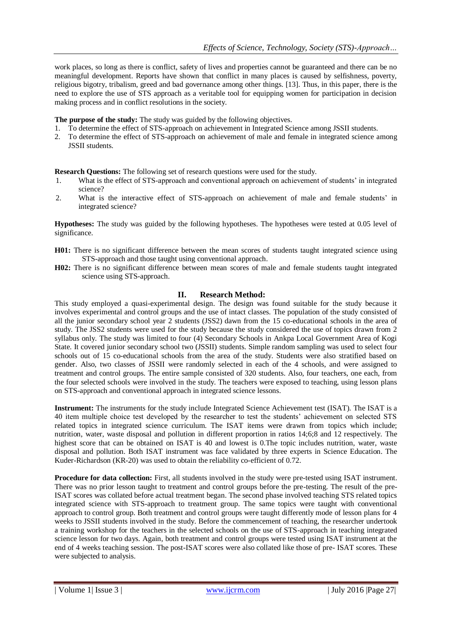work places, so long as there is conflict, safety of lives and properties cannot be guaranteed and there can be no meaningful development. Reports have shown that conflict in many places is caused by selfishness, poverty, religious bigotry, tribalism, greed and bad governance among other things. [13]. Thus, in this paper, there is the need to explore the use of STS approach as a veritable tool for equipping women for participation in decision making process and in conflict resolutions in the society.

**The purpose of the study:** The study was guided by the following objectives.

- 1. To determine the effect of STS-approach on achievement in Integrated Science among JSSII students.
- 2. To determine the effect of STS-approach on achievement of male and female in integrated science among JSSII students.

**Research Questions:** The following set of research questions were used for the study.

- 1. What is the effect of STS-approach and conventional approach on achievement of students' in integrated science?
- 2. What is the interactive effect of STS-approach on achievement of male and female students' in integrated science?

**Hypotheses:** The study was guided by the following hypotheses. The hypotheses were tested at 0.05 level of significance.

- **H01:** There is no significant difference between the mean scores of students taught integrated science using STS-approach and those taught using conventional approach.
- **H02:** There is no significant difference between mean scores of male and female students taught integrated science using STS-approach.

# **II. Research Method:**

This study employed a quasi-experimental design. The design was found suitable for the study because it involves experimental and control groups and the use of intact classes. The population of the study consisted of all the junior secondary school year 2 students (JSS2) dawn from the 15 co-educational schools in the area of study. The JSS2 students were used for the study because the study considered the use of topics drawn from 2 syllabus only. The study was limited to four (4) Secondary Schools in Ankpa Local Government Area of Kogi State. It covered junior secondary school two (JSSII) students. Simple random sampling was used to select four schools out of 15 co-educational schools from the area of the study. Students were also stratified based on gender. Also, two classes of JSSII were randomly selected in each of the 4 schools, and were assigned to treatment and control groups. The entire sample consisted of 320 students. Also, four teachers, one each, from the four selected schools were involved in the study. The teachers were exposed to teaching, using lesson plans on STS-approach and conventional approach in integrated science lessons.

**Instrument:** The instruments for the study include Integrated Science Achievement test (ISAT). The ISAT is a 40 item multiple choice test developed by the researcher to test the students' achievement on selected STS related topics in integrated science curriculum. The ISAT items were drawn from topics which include; nutrition, water, waste disposal and pollution in different proportion in ratios 14;6;8 and 12 respectively. The highest score that can be obtained on ISAT is 40 and lowest is 0. The topic includes nutrition, water, waste disposal and pollution. Both ISAT instrument was face validated by three experts in Science Education. The Kuder-Richardson (KR-20) was used to obtain the reliability co-efficient of 0.72.

**Procedure for data collection:** First, all students involved in the study were pre-tested using ISAT instrument. There was no prior lesson taught to treatment and control groups before the pre-testing. The result of the pre-ISAT scores was collated before actual treatment began. The second phase involved teaching STS related topics integrated science with STS-approach to treatment group. The same topics were taught with conventional approach to control group. Both treatment and control groups were taught differently mode of lesson plans for 4 weeks to JSSII students involved in the study. Before the commencement of teaching, the researcher undertook a training workshop for the teachers in the selected schools on the use of STS-approach in teaching integrated science lesson for two days. Again, both treatment and control groups were tested using ISAT instrument at the end of 4 weeks teaching session. The post-ISAT scores were also collated like those of pre- ISAT scores. These were subjected to analysis.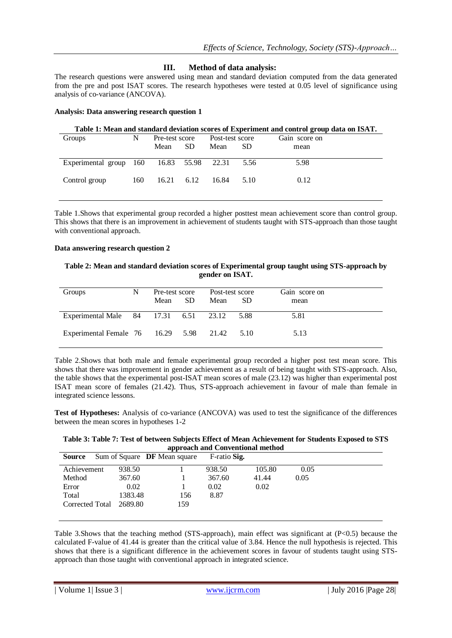# **III. Method of data analysis:**

The research questions were answered using mean and standard deviation computed from the data generated from the pre and post ISAT scores. The research hypotheses were tested at 0.05 level of significance using analysis of co-variance (ANCOVA).

## **Analysis: Data answering research question 1**

# **Table 1: Mean and standard deviation scores of Experiment and control group data on ISAT.**

| Groups                                   | N   | Pre-test score |           | Post-test score |      | Gain score on |
|------------------------------------------|-----|----------------|-----------|-----------------|------|---------------|
|                                          |     | Mean           | <b>SD</b> | Mean            | SD.  | mean          |
| Experimental group 160 16.83 55.98 22.31 |     |                |           |                 | 5.56 | 5.98          |
| Control group                            | 160 | 16.21          | 6.12      | 16.84           | 5.10 | 0.12          |

Table 1.Shows that experimental group recorded a higher posttest mean achievement score than control group. This shows that there is an improvement in achievement of students taught with STS-approach than those taught with conventional approach.

#### **Data answering research question 2**

## **Table 2: Mean and standard deviation scores of Experimental group taught using STS-approach by gender on ISAT.**

| Groups                                       | N | Pre-test score |      | Post-test score |     | Gain score on |  |
|----------------------------------------------|---|----------------|------|-----------------|-----|---------------|--|
|                                              |   | Mean           | -SD. | Mean            | -SD | mean          |  |
| Experimental Male 84 17.31 6.51 23.12 5.88   |   |                |      |                 |     | 5.81          |  |
| Experimental Female 76 16.29 5.98 21.42 5.10 |   |                |      |                 |     | 5.13          |  |

Table 2.Shows that both male and female experimental group recorded a higher post test mean score. This shows that there was improvement in gender achievement as a result of being taught with STS-approach. Also, the table shows that the experimental post-ISAT mean scores of male (23.12) was higher than experimental post ISAT mean score of females (21.42). Thus, STS-approach achievement in favour of male than female in integrated science lessons.

**Test of Hypotheses:** Analysis of co-variance (ANCOVA) was used to test the significance of the differences between the mean scores in hypotheses 1-2

# **Table 3: Table 7: Test of between Subjects Effect of Mean Achievement for Students Exposed to STS approach and Conventional method**

| Source          |         | Sum of Square <b>DF</b> Mean square | F-ratio Sig. |        |      |  |
|-----------------|---------|-------------------------------------|--------------|--------|------|--|
| Achievement     | 938.50  |                                     | 938.50       | 105.80 | 0.05 |  |
| Method          | 367.60  |                                     | 367.60       | 41.44  | 0.05 |  |
| Error           | 0.02    |                                     | 0.02         | 0.02   |      |  |
| Total           | 1383.48 | 156                                 | 8.87         |        |      |  |
| Corrected Total | 2689.80 | 159                                 |              |        |      |  |
|                 |         |                                     |              |        |      |  |

Table 3.Shows that the teaching method (STS-approach), main effect was significant at  $(P<0.5)$  because the calculated F-value of 41.44 is greater than the critical value of 3.84. Hence the null hypothesis is rejected. This shows that there is a significant difference in the achievement scores in favour of students taught using STSapproach than those taught with conventional approach in integrated science.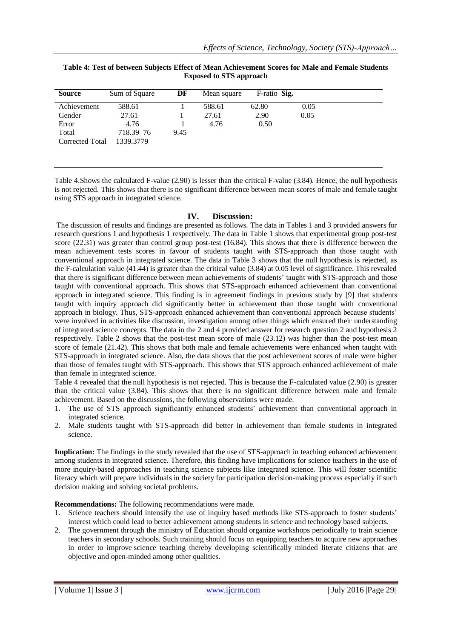| Table 4: Test of between Subjects Effect of Mean Achievement Scores for Male and Female Students |
|--------------------------------------------------------------------------------------------------|
| <b>Exposed to STS approach</b>                                                                   |

| <b>Source</b>   | Sum of Square | DF   | Mean square | F-ratio Sig. |      |
|-----------------|---------------|------|-------------|--------------|------|
| Achievement     | 588.61        |      | 588.61      | 62.80        | 0.05 |
| Gender          | 27.61         |      | 27.61       | 2.90         | 0.05 |
| Error           | 4.76          |      | 4.76        | 0.50         |      |
| Total           | 718.39 76     | 9.45 |             |              |      |
| Corrected Total | 1339.3779     |      |             |              |      |
|                 |               |      |             |              |      |

Table 4.Shows the calculated F-value (2.90) is lesser than the critical F-value (3.84). Hence, the null hypothesis is not rejected. This shows that there is no significant difference between mean scores of male and female taught using STS approach in integrated science.

## **IV. Discussion:**

The discussion of results and findings are presented as follows. The data in Tables 1 and 3 provided answers for research questions 1 and hypothesis 1 respectively. The data in Table 1 shows that experimental group post-test score (22.31) was greater than control group post-test (16.84). This shows that there is difference between the mean achievement tests scores in favour of students taught with STS-approach than those taught with conventional approach in integrated science. The data in Table 3 shows that the null hypothesis is rejected, as the F-calculation value (41.44) is greater than the critical value (3.84) at 0.05 level of significance. This revealed that there is significant difference between mean achievements of students' taught with STS-approach and those taught with conventional approach. This shows that STS-approach enhanced achievement than conventional approach in integrated science. This finding is in agreement findings in previous study by [9] that students taught with inquiry approach did significantly better in achievement than those taught with conventional approach in biology. Thus, STS-approach enhanced achievement than conventional approach because students' were involved in activities like discussion, investigation among other things which ensured their understanding of integrated science concepts. The data in the 2 and 4 provided answer for research question 2 and hypothesis 2 respectively. Table 2 shows that the post-test mean score of male (23.12) was higher than the post-test mean score of female (21.42). This shows that both male and female achievements were enhanced when taught with STS-approach in integrated science. Also, the data shows that the post achievement scores of male were higher than those of females taught with STS-approach. This shows that STS approach enhanced achievement of male than female in integrated science.

Table 4 revealed that the null hypothesis is not rejected. This is because the F-calculated value (2.90) is greater than the critical value (3.84). This shows that there is no significant difference between male and female achievement. Based on the discussions, the following observations were made.

- 1. The use of STS approach significantly enhanced students' achievement than conventional approach in integrated science.
- 2. Male students taught with STS-approach did better in achievement than female students in integrated science.

**Implication:** The findings in the study revealed that the use of STS-approach in teaching enhanced achievement among students in integrated science. Therefore, this finding have implications for science teachers in the use of more inquiry-based approaches in teaching science subjects like integrated science. This will foster scientific literacy which will prepare individuals in the society for participation decision-making process especially if such decision making and solving societal problems.

**Recommendations:** The following recommendations were made.

- 1. Science teachers should intensify the use of inquiry based methods like STS-approach to foster students' interest which could lead to better achievement among students in science and technology based subjects.
- 2. The government through the ministry of Education should organize workshops periodically to train science teachers in secondary schools. Such training should focus on equipping teachers to acquire new approaches in order to improve science teaching thereby developing scientifically minded literate citizens that are objective and open-minded among other qualities.